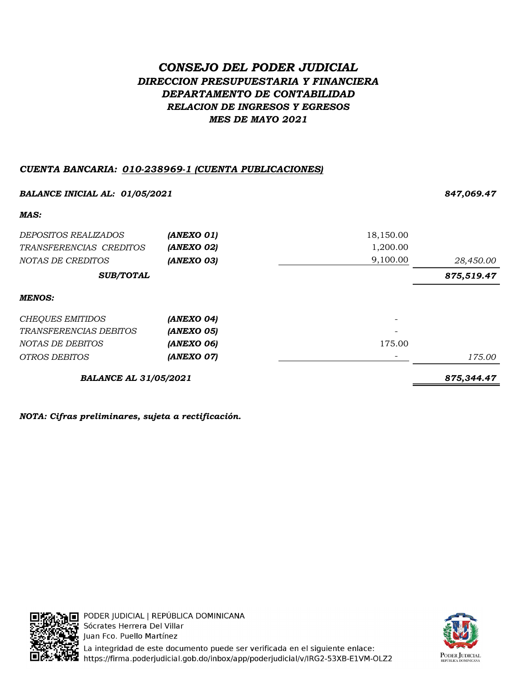# CONSEJO DEL PODER JUDICIAL DIRECCION PRESUPUESTARIA Y FINANCIERA DEPARTAMENTO DE CONTABILIDAD RELACION DE INGRESOS Y EGRESOS MES DE MAYO 2021

# CUENTA BANCARIA: 010-238969-1 (CUENTA PUBLICACIONES)

| <b>BALANCE INICIAL AL: 01/05/2021</b> |            |           | 847,069.47 |
|---------------------------------------|------------|-----------|------------|
| MAS:                                  |            |           |            |
| <i>DEPOSITOS REALIZADOS</i>           | (ANEXO 01) | 18,150.00 |            |
| TRANSFERENCIAS CREDITOS               | (ANEXO 02) | 1,200.00  |            |
| NOTAS DE CREDITOS                     | (ANEXO 03) | 9,100.00  | 28,450.00  |
| <b>SUB/TOTAL</b>                      |            |           | 875,519.47 |
| <b>MENOS:</b>                         |            |           |            |
| <b>CHEQUES EMITIDOS</b>               | (ANEXO 04) |           |            |
| TRANSFERENCIAS DEBITOS                | (ANEXO 05) |           |            |
| NOTAS DE DEBITOS                      | (ANEXO 06) | 175.00    |            |
| <i>OTROS DEBITOS</i>                  | (ANEXO 07) |           | 175.00     |
| <b>BALANCE AL 31/05/2021</b>          |            |           | 875,344.47 |

NOTA: Cifras preliminares, sujeta a rectificación.



PODER JUDICIAL | REPÚBLICA DOMINICANA Sócrates Herrera Del Villar Juan Fco. Puello Martínez La integridad de este documento puede ser verificada en el siguiente enlace: https://firma.poderjudicial.gob.do/inbox/app/poderjudicial/v/IRG2-53XB-E1VM-OLZ2

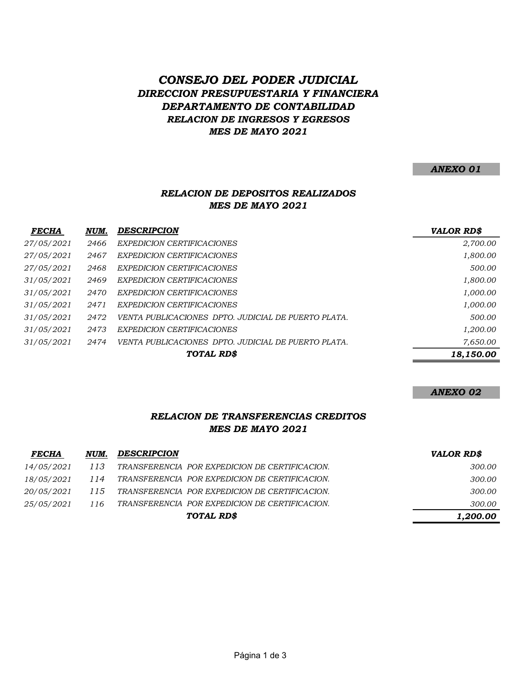# CONSEJO DEL PODER JUDICIAL DIRECCION PRESUPUESTARIA Y FINANCIERA DEPARTAMENTO DE CONTABILIDAD RELACION DE INGRESOS Y EGRESOS MES DE MAYO 2021

#### ANEXO 01

# RELACION DE DEPOSITOS REALIZADOS MES DE MAYO 2021

| <b>FECHA</b> | NUM. | <b>DESCRIPCION</b>                                  | <b>VALOR RD\$</b> |
|--------------|------|-----------------------------------------------------|-------------------|
| 27/05/2021   | 2466 | <b>EXPEDICION CERTIFICACIONES</b>                   | 2,700.00          |
| 27/05/2021   | 2467 | EXPEDICION CERTIFICACIONES                          | 1,800.00          |
| 27/05/2021   | 2468 | EXPEDICION CERTIFICACIONES                          | 500.00            |
| 31/05/2021   | 2469 | EXPEDICION CERTIFICACIONES                          | 1,800.00          |
| 31/05/2021   | 2470 | EXPEDICION CERTIFICACIONES                          | 1,000.00          |
| 31/05/2021   | 2471 | EXPEDICION CERTIFICACIONES                          | 1,000.00          |
| 31/05/2021   | 2472 | VENTA PUBLICACIONES DPTO. JUDICIAL DE PUERTO PLATA. | 500.00            |
| 31/05/2021   | 2473 | EXPEDICION CERTIFICACIONES                          | 1,200.00          |
| 31/05/2021   | 2474 | VENTA PUBLICACIONES DPTO. JUDICIAL DE PUERTO PLATA. | 7,650.00          |
|              |      | TOTAL RD\$                                          | 18,150.00         |

#### ANEXO 02

# RELACION DE TRANSFERENCIAS CREDITOS MES DE MAYO 2021

| <b>FECHA</b>      | NUM. | <b>DESCRIPCION</b>                             | <b>VALOR RD\$</b> |
|-------------------|------|------------------------------------------------|-------------------|
| 14/05/2021        | 113  | TRANSFERENCIA POR EXPEDICION DE CERTIFICACION. | 300.00            |
| 18/05/2021        | 114  | TRANSFERENCIA POR EXPEDICION DE CERTIFICACION. | 300.00            |
| <i>20/05/2021</i> | 115  | TRANSFERENCIA POR EXPEDICION DE CERTIFICACION. | 300.00            |
| 25/05/2021        | 116  | TRANSFERENCIA POR EXPEDICION DE CERTIFICACION. | 300.00            |
|                   |      | TOTAL RD\$                                     | 1,200.00          |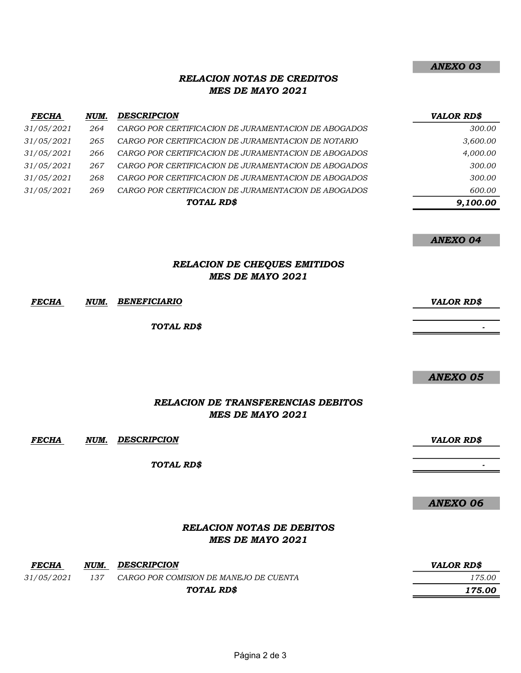### RELACION NOTAS DE CREDITOS MES DE MAYO 2021

| <b>FECHA</b> | NUM. | <b>DESCRIPCION</b>                                   | <b>VALOR RD\$</b> |
|--------------|------|------------------------------------------------------|-------------------|
| 31/05/2021   | 264  | CARGO POR CERTIFICACION DE JURAMENTACION DE ABOGADOS | 300.00            |
| 31/05/2021   | 265  | CARGO POR CERTIFICACION DE JURAMENTACION DE NOTARIO  | 3,600.00          |
| 31/05/2021   | 266  | CARGO POR CERTIFICACION DE JURAMENTACION DE ABOGADOS | 4,000.00          |
| 31/05/2021   | 267  | CARGO POR CERTIFICACION DE JURAMENTACION DE ABOGADOS | 300.00            |
| 31/05/2021   | 268  | CARGO POR CERTIFICACION DE JURAMENTACION DE ABOGADOS | 300.00            |
| 31/05/2021   | 269  | CARGO POR CERTIFICACION DE JURAMENTACION DE ABOGADOS | 600.00            |
|              |      | TOTAL RD\$                                           | 9,100.00          |

ANEXO 04

#### RELACION DE CHEQUES EMITIDOS MES DE MAYO 2021

FECHA NUM. VALOR RD\$ BENEFICIARIO

TOTAL RD\$

#### ANEXO 05

- 1990)<br>1990 - Paul Barbara, política<br>1990 - Paul Barbara, política

### RELACION DE TRANSFERENCIAS DEBITOS MES DE MAYO 2021

FECHA NUM. DESCRIPCION **External State of the Second Contract Contract Contract Contract Contract Contract Contract Contract Contract Contract Contract Contract Contract Contract Contract Contract Contract Contract Contrac** 

TOTAL RD\$

ANEXO 06

- 1990 - 1990 - 1990 - 1990 - 1990 - 1990 - 1990 - 1990 - 1990 - 1990 - 1990 - 1990 - 1990 - 1990 - 1990 - 19<br>1991 - 1990 - 1990 - 1990 - 1990 - 1990 - 1990 - 1990 - 1990 - 1990 - 1990 - 1990 - 1990 - 1990 - 1990 - 1990

### RELACION NOTAS DE DEBITOS MES DE MAYO 2021

| <b>FECHA</b> | NUM. | <b>DESCRIPCION</b>                     | VALOR RD\$ |
|--------------|------|----------------------------------------|------------|
| 31/05/2021   | 137  | CARGO POR COMISION DE MANEJO DE CUENTA | 175.00     |
|              |      | TOTAL RD\$                             | 175.00     |